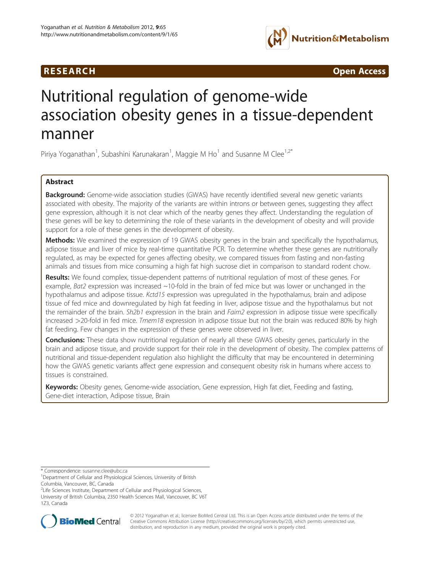# R E S EAR CH Open Access



# Nutritional regulation of genome-wide association obesity genes in a tissue-dependent manner

Piriya Yoganathan<sup>1</sup>, Subashini Karunakaran<sup>1</sup>, Maggie M Ho<sup>1</sup> and Susanne M Clee<sup>1,2\*</sup>

# Abstract

Background: Genome-wide association studies (GWAS) have recently identified several new genetic variants associated with obesity. The majority of the variants are within introns or between genes, suggesting they affect gene expression, although it is not clear which of the nearby genes they affect. Understanding the regulation of these genes will be key to determining the role of these variants in the development of obesity and will provide support for a role of these genes in the development of obesity.

**Methods:** We examined the expression of 19 GWAS obesity genes in the brain and specifically the hypothalamus, adipose tissue and liver of mice by real-time quantitative PCR. To determine whether these genes are nutritionally regulated, as may be expected for genes affecting obesity, we compared tissues from fasting and non-fasting animals and tissues from mice consuming a high fat high sucrose diet in comparison to standard rodent chow.

Results: We found complex, tissue-dependent patterns of nutritional regulation of most of these genes. For example, Bat2 expression was increased ~10-fold in the brain of fed mice but was lower or unchanged in the hypothalamus and adipose tissue. Kctd15 expression was upregulated in the hypothalamus, brain and adipose tissue of fed mice and downregulated by high fat feeding in liver, adipose tissue and the hypothalamus but not the remainder of the brain. Sh2b1 expression in the brain and Faim2 expression in adipose tissue were specifically increased >20-fold in fed mice. Tmem18 expression in adipose tissue but not the brain was reduced 80% by high fat feeding. Few changes in the expression of these genes were observed in liver.

**Conclusions:** These data show nutritional regulation of nearly all these GWAS obesity genes, particularly in the brain and adipose tissue, and provide support for their role in the development of obesity. The complex patterns of nutritional and tissue-dependent regulation also highlight the difficulty that may be encountered in determining how the GWAS genetic variants affect gene expression and consequent obesity risk in humans where access to tissues is constrained.

Keywords: Obesity genes, Genome-wide association, Gene expression, High fat diet, Feeding and fasting, Gene-diet interaction, Adipose tissue, Brain

\* Correspondence: [susanne.clee@ubc.ca](mailto:susanne.clee@ubc.ca) <sup>1</sup>

<sup>2</sup>Life Sciences Institute, Department of Cellular and Physiological Sciences, University of British Columbia, 2350 Health Sciences Mall, Vancouver, BC V6T 1Z3, Canada



© 2012 Yoganathan et al.; licensee BioMed Central Ltd. This is an Open Access article distributed under the terms of the Creative Commons Attribution License (<http://creativecommons.org/licenses/by/2.0>), which permits unrestricted use, distribution, and reproduction in any medium, provided the original work is properly cited.

<sup>&</sup>lt;sup>1</sup>Department of Cellular and Physiological Sciences, University of British Columbia, Vancouver, BC, Canada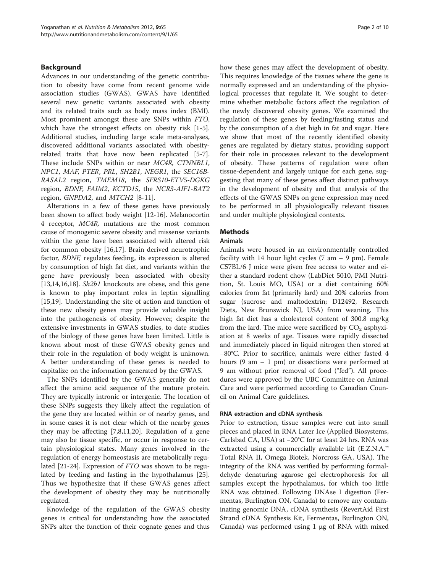# Background

Advances in our understanding of the genetic contribution to obesity have come from recent genome wide association studies (GWAS). GWAS have identified several new genetic variants associated with obesity and its related traits such as body mass index (BMI). Most prominent amongst these are SNPs within FTO, which have the strongest effects on obesity risk [[1-5](#page-8-0)]. Additional studies, including large scale meta-analyses, discovered additional variants associated with obesityrelated traits that have now been replicated [[5-7](#page-8-0)]. These include SNPs within or near MC4R, CTNNBL1, NPC1, MAF, PTER, PRL, SH2B1, NEGR1, the SEC16B-RASAL2 region, TMEM18, the SFRS10-ETV5-DGKG region, BDNF, FAIM2, KCTD15, the NCR3-AIF1-BAT2 region, GNPDA2, and MTCH2 [[8-11\]](#page-8-0).

Alterations in a few of these genes have previously been shown to affect body weight [\[12](#page-9-0)-[16](#page-9-0)]. Melanocortin 4 receptor, MC4R, mutations are the most common cause of monogenic severe obesity and missense variants within the gene have been associated with altered risk for common obesity [\[16,17](#page-9-0)]. Brain derived neurotrophic factor, BDNF, regulates feeding, its expression is altered by consumption of high fat diet, and variants within the gene have previously been associated with obesity [[13,14,16,18\]](#page-9-0). *Sh2b1* knockouts are obese, and this gene is known to play important roles in leptin signalling [[15,19\]](#page-9-0). Understanding the site of action and function of these new obesity genes may provide valuable insight into the pathogenesis of obesity. However, despite the extensive investments in GWAS studies, to date studies of the biology of these genes have been limited. Little is known about most of these GWAS obesity genes and their role in the regulation of body weight is unknown. A better understanding of these genes is needed to capitalize on the information generated by the GWAS.

The SNPs identified by the GWAS generally do not affect the amino acid sequence of the mature protein. They are typically intronic or intergenic. The location of these SNPs suggests they likely affect the regulation of the gene they are located within or of nearby genes, and in some cases it is not clear which of the nearby genes they may be affecting [\[7](#page-8-0),[8](#page-8-0),[11](#page-8-0)[,20](#page-9-0)]. Regulation of a gene may also be tissue specific, or occur in response to certain physiological states. Many genes involved in the regulation of energy homeostasis are metabolically regulated [[21-24](#page-9-0)]. Expression of FTO was shown to be regulated by feeding and fasting in the hypothalamus [\[25](#page-9-0)]. Thus we hypothesize that if these GWAS genes affect the development of obesity they may be nutritionally regulated.

Knowledge of the regulation of the GWAS obesity genes is critical for understanding how the associated SNPs alter the function of their cognate genes and thus how these genes may affect the development of obesity. This requires knowledge of the tissues where the gene is normally expressed and an understanding of the physiological processes that regulate it. We sought to determine whether metabolic factors affect the regulation of the newly discovered obesity genes. We examined the regulation of these genes by feeding/fasting status and by the consumption of a diet high in fat and sugar. Here we show that most of the recently identified obesity genes are regulated by dietary status, providing support for their role in processes relevant to the development of obesity. These patterns of regulation were often tissue-dependent and largely unique for each gene, suggesting that many of these genes affect distinct pathways in the development of obesity and that analysis of the effects of the GWAS SNPs on gene expression may need to be performed in all physiologically relevant tissues and under multiple physiological contexts.

# **Methods**

### Animals

Animals were housed in an environmentally controlled facility with 14 hour light cycles  $(7 \text{ am} - 9 \text{ pm})$ . Female C57BL/6 J mice were given free access to water and either a standard rodent chow (LabDiet 5010, PMI Nutrition, St. Louis MO, USA) or a diet containing 60% calories from fat (primarily lard) and 20% calories from sugar (sucrose and maltodextrin; D12492, Research Diets, New Brunswick NJ, USA) from weaning. This high fat diet has a cholesterol content of 300.8 mg/kg from the lard. The mice were sacrificed by  $CO<sub>2</sub>$  asphyxiation at 8 weeks of age. Tissues were rapidly dissected and immediately placed in liquid nitrogen then stored at −80°C. Prior to sacrifice, animals were either fasted 4 hours (9 am  $-$  1 pm) or dissections were performed at 9 am without prior removal of food ("fed"). All procedures were approved by the UBC Committee on Animal Care and were performed according to Canadian Council on Animal Care guidelines.

### RNA extraction and cDNA synthesis

Prior to extraction, tissue samples were cut into small pieces and placed in RNA Later Ice (Applied Biosystems, Carlsbad CA, USA) at −20°C for at least 24 hrs. RNA was extracted using a commercially available kit (E.Z.N.A.™ Total RNA II, Omega Biotek, Norcross GA, USA). The integrity of the RNA was verified by performing formaldehyde denaturing agarose gel electrophoresis for all samples except the hypothalamus, for which too little RNA was obtained. Following DNAse I digestion (Fermentas, Burlington ON, Canada) to remove any contaminating genomic DNA, cDNA synthesis (RevertAid First Strand cDNA Synthesis Kit, Fermentas, Burlington ON, Canada) was performed using 1 μg of RNA with mixed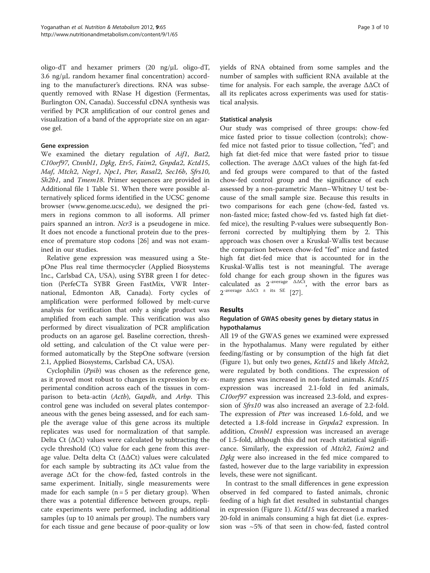oligo-dT and hexamer primers (20 ng/μL oligo-dT, 3.6 ng/μL random hexamer final concentration) according to the manufacturer's directions. RNA was subsequently removed with RNase H digestion (Fermentas, Burlington ON, Canada). Successful cDNA synthesis was verified by PCR amplification of our control genes and visualization of a band of the appropriate size on an agarose gel.

#### Gene expression

We examined the dietary regulation of Aif1, Bat2, C10orf97, Ctnnbl1, Dgkg, Etv5, Faim2, Gnpda2, Kctd15, Maf, Mtch2, Negr1, Npc1, Pter, Rasal2, Sec16b, Sfrs10, Sh2b1, and Tmem18. Primer sequences are provided in Additional file [1](#page-7-0) Table S1. When there were possible alternatively spliced forms identified in the UCSC genome browser ([www.genome.ucsc.edu\)](http://www.genome.ucsc.edu), we designed the primers in regions common to all isoforms. All primer pairs spanned an intron. Ncr3 is a pseudogene in mice. It does not encode a functional protein due to the presence of premature stop codons [[26](#page-9-0)] and was not examined in our studies.

Relative gene expression was measured using a StepOne Plus real time thermocycler (Applied Biosystems Inc., Carlsbad CA, USA), using SYBR green I for detection (PerfeCTa SYBR Green FastMix, VWR International, Edmonton AB, Canada). Forty cycles of amplification were performed followed by melt-curve analysis for verification that only a single product was amplified from each sample. This verification was also performed by direct visualization of PCR amplification products on an agarose gel. Baseline correction, threshold setting, and calculation of the Ct value were performed automatically by the StepOne software (version 2.1, Applied Biosystems, Carlsbad CA, USA).

Cyclophilin (Ppib) was chosen as the reference gene, as it proved most robust to changes in expression by experimental condition across each of the tissues in comparison to beta-actin (Actb), Gapdh, and Arbp. This control gene was included on several plates contemporaneous with the genes being assessed, and for each sample the average value of this gene across its multiple replicates was used for normalization of that sample. Delta Ct  $(\Delta Ct)$  values were calculated by subtracting the cycle threshold (Ct) value for each gene from this average value. Delta delta Ct (ΔΔCt) values were calculated for each sample by subtracting its ΔCt value from the average ΔCt for the chow-fed, fasted controls in the same experiment. Initially, single measurements were made for each sample  $(n = 5$  per dietary group). When there was a potential difference between groups, replicate experiments were performed, including additional samples (up to 10 animals per group). The numbers vary for each tissue and gene because of poor-quality or low yields of RNA obtained from some samples and the number of samples with sufficient RNA available at the time for analysis. For each sample, the average ΔΔCt of all its replicates across experiments was used for statistical analysis.

#### Statistical analysis

Our study was comprised of three groups: chow-fed mice fasted prior to tissue collection (controls); chowfed mice not fasted prior to tissue collection, "fed"; and high fat diet-fed mice that were fasted prior to tissue collection. The average ΔΔCt values of the high fat-fed and fed groups were compared to that of the fasted chow-fed control group and the significance of each assessed by a non-parametric Mann–Whitney U test because of the small sample size. Because this results in two comparisons for each gene (chow-fed, fasted vs. non-fasted mice; fasted chow-fed vs. fasted high fat dietfed mice), the resulting P-values were subsequently Bonferroni corrected by multiplying them by 2. This approach was chosen over a Kruskal-Wallis test because the comparison between chow-fed "fed" mice and fasted high fat diet-fed mice that is accounted for in the Kruskal-Wallis test is not meaningful. The average fold change for each group shown in the figures was calculated as  $2^{-average}$   $\triangle \triangle Ct$ , with the error bars as  $2^{-\text{average}}$   $\Delta \Delta \text{Ct}$  ± its SE [\[27](#page-9-0)].

### Results

### Regulation of GWAS obesity genes by dietary status in hypothalamus

All 19 of the GWAS genes we examined were expressed in the hypothalamus. Many were regulated by either feeding/fasting or by consumption of the high fat diet (Figure [1\)](#page-3-0), but only two genes, Kctd15 and likely Mtch2, were regulated by both conditions. The expression of many genes was increased in non-fasted animals. Kctd15 expression was increased 2.1-fold in fed animals, C10orf97 expression was increased 2.3-fold, and expression of Sfrs10 was also increased an average of 2.2-fold. The expression of Pter was increased 1.6-fold, and we detected a 1.8-fold increase in *Gnpda2* expression. In addition, *Ctnnbl1* expression was increased an average of 1.5-fold, although this did not reach statistical significance. Similarly, the expression of Mtch2, Faim2 and Dgkg were also increased in the fed mice compared to fasted, however due to the large variability in expression levels, these were not significant.

In contrast to the small differences in gene expression observed in fed compared to fasted animals, chronic feeding of a high fat diet resulted in substantial changes in expression (Figure [1\)](#page-3-0). Kctd15 was decreased a marked 20-fold in animals consuming a high fat diet (i.e. expression was ~5% of that seen in chow-fed, fasted control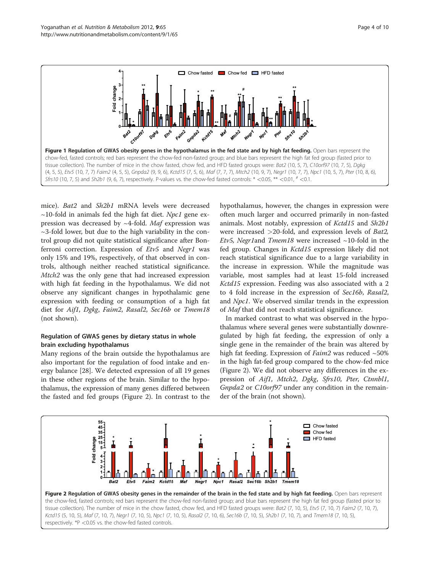<span id="page-3-0"></span>

mice). Bat2 and Sh2b1 mRNA levels were decreased  $\sim$ 10-fold in animals fed the high fat diet. Npc1 gene expression was decreased by  $~\sim$ 4-fold. *Maf* expression was  $\sim$ 3-fold lower, but due to the high variability in the control group did not quite statistical significance after Bonferroni correction. Expression of *Etv5* and *Negr1* was only 15% and 19%, respectively, of that observed in controls, although neither reached statistical significance. Mtch2 was the only gene that had increased expression with high fat feeding in the hypothalamus. We did not observe any significant changes in hypothalamic gene expression with feeding or consumption of a high fat diet for Aif1, Dgkg, Faim2, Rasal2, Sec16b or Tmem18 (not shown).

# Regulation of GWAS genes by dietary status in whole brain excluding hypothalamus

Many regions of the brain outside the hypothalamus are also important for the regulation of food intake and energy balance [\[28](#page-9-0)]. We detected expression of all 19 genes in these other regions of the brain. Similar to the hypothalamus, the expression of many genes differed between the fasted and fed groups (Figure 2). In contrast to the hypothalamus, however, the changes in expression were often much larger and occurred primarily in non-fasted animals. Most notably, expression of Kctd15 and Sh2b1 were increased  $>$  20-fold, and expression levels of *Bat2*, Etv5, Negr1and Tmem18 were increased  $\sim$ 10-fold in the fed group. Changes in Kctd15 expression likely did not reach statistical significance due to a large variability in the increase in expression. While the magnitude was variable, most samples had at least 15-fold increased Kctd15 expression. Feeding was also associated with a 2 to 4 fold increase in the expression of Sec16b, Rasal2, and Npc1. We observed similar trends in the expression of Maf that did not reach statistical significance.

In marked contrast to what was observed in the hypothalamus where several genes were substantially downregulated by high fat feeding, the expression of only a single gene in the remainder of the brain was altered by high fat feeding. Expression of *Faim2* was reduced ~50% in the high fat-fed group compared to the chow-fed mice (Figure 2). We did not observe any differences in the expression of Aif1, Mtch2, Dgkg, Sfrs10, Pter, Ctnnbl1, Gnpda2 or C10orf97 under any condition in the remainder of the brain (not shown).

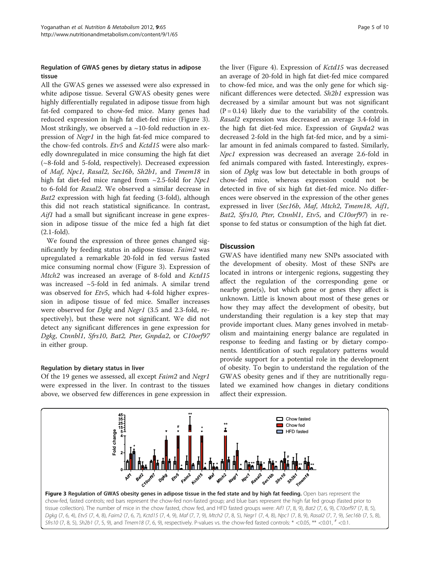# <span id="page-4-0"></span>Regulation of GWAS genes by dietary status in adipose tissue

All the GWAS genes we assessed were also expressed in white adipose tissue. Several GWAS obesity genes were highly differentially regulated in adipose tissue from high fat-fed compared to chow-fed mice. Many genes had reduced expression in high fat diet-fed mice (Figure 3). Most strikingly, we observed a  $\sim$ 10-fold reduction in expression of Negr1 in the high fat-fed mice compared to the chow-fed controls. Etv5 and Kctd15 were also markedly downregulated in mice consuming the high fat diet (~8-fold and 5-fold, respectively). Decreased expression of Maf, Npc1, Rasal2, Sec16b, Sh2b1, and Tmem18 in high fat diet-fed mice ranged from  $\sim$ 2.5-fold for *Npc1* to 6-fold for Rasal2. We observed a similar decrease in Bat2 expression with high fat feeding (3-fold), although this did not reach statistical significance. In contrast, Aif1 had a small but significant increase in gene expression in adipose tissue of the mice fed a high fat diet (2.1-fold).

We found the expression of three genes changed significantly by feeding status in adipose tissue. Faim2 was upregulated a remarkable 20-fold in fed versus fasted mice consuming normal chow (Figure 3). Expression of Mtch2 was increased an average of 8-fold and Kctd15 was increased ~5-fold in fed animals. A similar trend was observed for Etv5, which had 4-fold higher expression in adipose tissue of fed mice. Smaller increases were observed for Dgkg and Negr1 (3.5 and 2.3-fold, respectively), but these were not significant. We did not detect any significant differences in gene expression for Dgkg, Ctnnbl1, Sfrs10, Bat2, Pter, Gnpda2, or C10orf97 in either group.

### Regulation by dietary status in liver

Of the 19 genes we assessed, all except Faim2 and Negr1 were expressed in the liver. In contrast to the tissues above, we observed few differences in gene expression in

the liver (Figure [4\)](#page-5-0). Expression of Kctd15 was decreased an average of 20-fold in high fat diet-fed mice compared to chow-fed mice, and was the only gene for which significant differences were detected. Sh2b1 expression was decreased by a similar amount but was not significant  $(P = 0.14)$  likely due to the variability of the controls. Rasal2 expression was decreased an average 3.4-fold in the high fat diet-fed mice. Expression of Gnpda2 was decreased 2-fold in the high fat-fed mice, and by a similar amount in fed animals compared to fasted. Similarly, Npc1 expression was decreased an average 2.6-fold in fed animals compared with fasted. Interestingly, expression of Dgkg was low but detectable in both groups of chow-fed mice, whereas expression could not be detected in five of six high fat diet-fed mice. No differences were observed in the expression of the other genes expressed in liver (Sec16b, Maf, Mtch2, Tmem18, Aif1, Bat2, Sfrs10, Pter, Ctnnbl1, Etv5, and C10orf97) in response to fed status or consumption of the high fat diet.

#### **Discussion**

GWAS have identified many new SNPs associated with the development of obesity. Most of these SNPs are located in introns or intergenic regions, suggesting they affect the regulation of the corresponding gene or nearby gene(s), but which gene or genes they affect is unknown. Little is known about most of these genes or how they may affect the development of obesity, but understanding their regulation is a key step that may provide important clues. Many genes involved in metabolism and maintaining energy balance are regulated in response to feeding and fasting or by dietary components. Identification of such regulatory patterns would provide support for a potential role in the development of obesity. To begin to understand the regulation of the GWAS obesity genes and if they are nutritionally regulated we examined how changes in dietary conditions affect their expression.

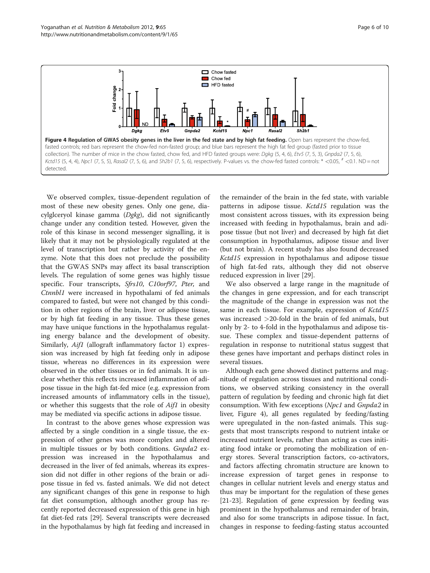<span id="page-5-0"></span>

We observed complex, tissue-dependent regulation of most of these new obesity genes. Only one gene, diacylglceryol kinase gamma (Dgkg), did not significantly change under any condition tested. However, given the role of this kinase in second messenger signalling, it is likely that it may not be physiologically regulated at the level of transcription but rather by activity of the enzyme. Note that this does not preclude the possibility that the GWAS SNPs may affect its basal transcription levels. The regulation of some genes was highly tissue specific. Four transcripts, Sfrs10, C10orf97, Pter, and Ctnnbl1 were increased in hypothalami of fed animals compared to fasted, but were not changed by this condition in other regions of the brain, liver or adipose tissue, or by high fat feeding in any tissue. Thus these genes may have unique functions in the hypothalamus regulating energy balance and the development of obesity. Similarly, Aif1 (allograft inflammatory factor 1) expression was increased by high fat feeding only in adipose tissue, whereas no differences in its expression were observed in the other tissues or in fed animals. It is unclear whether this reflects increased inflammation of adipose tissue in the high fat-fed mice (e.g. expression from increased amounts of inflammatory cells in the tissue), or whether this suggests that the role of Aif1 in obesity may be mediated via specific actions in adipose tissue.

In contrast to the above genes whose expression was affected by a single condition in a single tissue, the expression of other genes was more complex and altered in multiple tissues or by both conditions. Gnpda2 expression was increased in the hypothalamus and decreased in the liver of fed animals, whereas its expression did not differ in other regions of the brain or adipose tissue in fed vs. fasted animals. We did not detect any significant changes of this gene in response to high fat diet consumption, although another group has recently reported decreased expression of this gene in high fat diet-fed rats [\[29\]](#page-9-0). Several transcripts were decreased in the hypothalamus by high fat feeding and increased in

the remainder of the brain in the fed state, with variable patterns in adipose tissue. Kctd15 regulation was the most consistent across tissues, with its expression being increased with feeding in hypothalamus, brain and adipose tissue (but not liver) and decreased by high fat diet consumption in hypothalamus, adipose tissue and liver (but not brain). A recent study has also found decreased Kctd15 expression in hypothalamus and adipose tissue of high fat-fed rats, although they did not observe reduced expression in liver [\[29\]](#page-9-0).

We also observed a large range in the magnitude of the changes in gene expression, and for each transcript the magnitude of the change in expression was not the same in each tissue. For example, expression of Kctd15 was increased >20-fold in the brain of fed animals, but only by 2- to 4-fold in the hypothalamus and adipose tissue. These complex and tissue-dependent patterns of regulation in response to nutritional status suggest that these genes have important and perhaps distinct roles in several tissues.

Although each gene showed distinct patterns and magnitude of regulation across tissues and nutritional conditions, we observed striking consistency in the overall pattern of regulation by feeding and chronic high fat diet consumption. With few exceptions (Npc1 and Gnpda2 in liver, Figure 4), all genes regulated by feeding/fasting were upregulated in the non-fasted animals. This suggests that most transcripts respond to nutrient intake or increased nutrient levels, rather than acting as cues initiating food intake or promoting the mobilization of energy stores. Several transcription factors, co-activators, and factors affecting chromatin structure are known to increase expression of target genes in response to changes in cellular nutrient levels and energy status and thus may be important for the regulation of these genes [[21-23](#page-9-0)]. Regulation of gene expression by feeding was prominent in the hypothalamus and remainder of brain, and also for some transcripts in adipose tissue. In fact, changes in response to feeding-fasting status accounted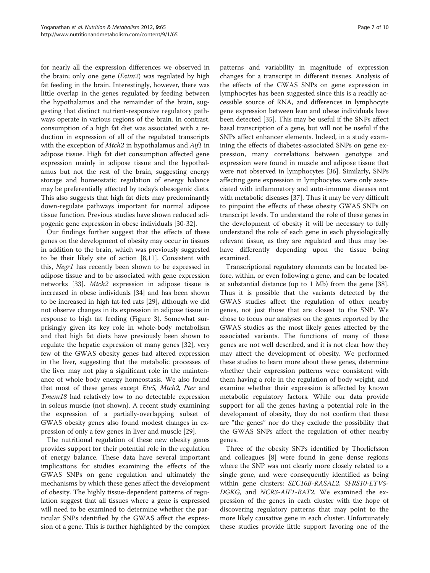for nearly all the expression differences we observed in the brain; only one gene (Faim2) was regulated by high fat feeding in the brain. Interestingly, however, there was little overlap in the genes regulated by feeding between the hypothalamus and the remainder of the brain, suggesting that distinct nutrient-responsive regulatory pathways operate in various regions of the brain. In contrast, consumption of a high fat diet was associated with a reduction in expression of all of the regulated transcripts with the exception of Mtch2 in hypothalamus and Aif1 in adipose tissue. High fat diet consumption affected gene expression mainly in adipose tissue and the hypothalamus but not the rest of the brain, suggesting energy storage and homeostatic regulation of energy balance may be preferentially affected by today's obesogenic diets. This also suggests that high fat diets may predominantly down-regulate pathways important for normal adipose tissue function. Previous studies have shown reduced adipogenic gene expression in obese individuals [\[30](#page-9-0)-[32\]](#page-9-0).

Our findings further suggest that the effects of these genes on the development of obesity may occur in tissues in addition to the brain, which was previously suggested to be their likely site of action [[8,11\]](#page-8-0). Consistent with this, Negr1 has recently been shown to be expressed in adipose tissue and to be associated with gene expression networks [\[33\]](#page-9-0). Mtch2 expression in adipose tissue is increased in obese individuals [\[34\]](#page-9-0) and has been shown to be increased in high fat-fed rats [[29](#page-9-0)], although we did not observe changes in its expression in adipose tissue in response to high fat feeding (Figure [3](#page-4-0)). Somewhat surprisingly given its key role in whole-body metabolism and that high fat diets have previously been shown to regulate the hepatic expression of many genes [[32\]](#page-9-0), very few of the GWAS obesity genes had altered expression in the liver, suggesting that the metabolic processes of the liver may not play a significant role in the maintenance of whole body energy homeostasis. We also found that most of these genes except Etv5, Mtch2, Pter and Tmem18 had relatively low to no detectable expression in soleus muscle (not shown). A recent study examining the expression of a partially-overlapping subset of GWAS obesity genes also found modest changes in expression of only a few genes in liver and muscle [\[29](#page-9-0)].

The nutritional regulation of these new obesity genes provides support for their potential role in the regulation of energy balance. These data have several important implications for studies examining the effects of the GWAS SNPs on gene regulation and ultimately the mechanisms by which these genes affect the development of obesity. The highly tissue-dependent patterns of regulation suggest that all tissues where a gene is expressed will need to be examined to determine whether the particular SNPs identified by the GWAS affect the expression of a gene. This is further highlighted by the complex

patterns and variability in magnitude of expression changes for a transcript in different tissues. Analysis of the effects of the GWAS SNPs on gene expression in lymphocytes has been suggested since this is a readily accessible source of RNA, and differences in lymphocyte gene expression between lean and obese individuals have been detected [[35\]](#page-9-0). This may be useful if the SNPs affect basal transcription of a gene, but will not be useful if the SNPs affect enhancer elements. Indeed, in a study examining the effects of diabetes-associated SNPs on gene expression, many correlations between genotype and expression were found in muscle and adipose tissue that were not observed in lymphocytes [[36\]](#page-9-0). Similarly, SNPs affecting gene expression in lymphocytes were only associated with inflammatory and auto-immune diseases not with metabolic diseases [[37\]](#page-9-0). Thus it may be very difficult to pinpoint the effects of these obesity GWAS SNPs on transcript levels. To understand the role of these genes in the development of obesity it will be necessary to fully understand the role of each gene in each physiologically relevant tissue, as they are regulated and thus may behave differently depending upon the tissue being examined.

Transcriptional regulatory elements can be located before, within, or even following a gene, and can be located at substantial distance (up to 1 Mb) from the gene [\[38](#page-9-0)]. Thus it is possible that the variants detected by the GWAS studies affect the regulation of other nearby genes, not just those that are closest to the SNP. We chose to focus our analyses on the genes reported by the GWAS studies as the most likely genes affected by the associated variants. The functions of many of these genes are not well described, and it is not clear how they may affect the development of obesity. We performed these studies to learn more about these genes, determine whether their expression patterns were consistent with them having a role in the regulation of body weight, and examine whether their expression is affected by known metabolic regulatory factors. While our data provide support for all the genes having a potential role in the development of obesity, they do not confirm that these are "the genes" nor do they exclude the possibility that the GWAS SNPs affect the regulation of other nearby genes.

Three of the obesity SNPs identified by Thorliefsson and colleagues [\[8](#page-8-0)] were found in gene dense regions where the SNP was not clearly more closely related to a single gene, and were consequently identified as being within gene clusters: SEC16B-RASAL2, SFRS10-ETV5- DGKG, and NCR3-AIF1-BAT2. We examined the expression of the genes in each cluster with the hope of discovering regulatory patterns that may point to the more likely causative gene in each cluster. Unfortunately these studies provide little support favoring one of the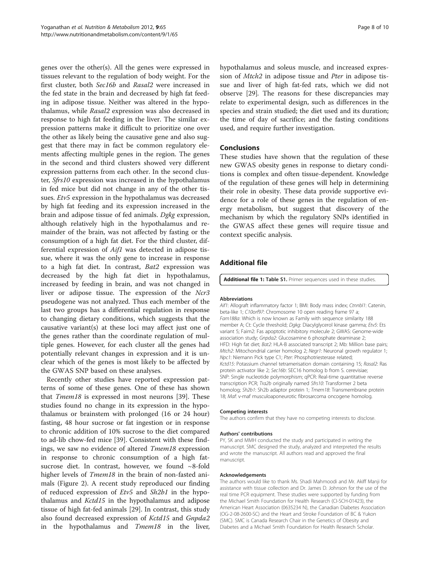<span id="page-7-0"></span>genes over the other(s). All the genes were expressed in tissues relevant to the regulation of body weight. For the first cluster, both Sec16b and Rasal2 were increased in the fed state in the brain and decreased by high fat feeding in adipose tissue. Neither was altered in the hypothalamus, while Rasal2 expression was also decreased in response to high fat feeding in the liver. The similar expression patterns make it difficult to prioritize one over the other as likely being the causative gene and also suggest that there may in fact be common regulatory elements affecting multiple genes in the region. The genes in the second and third clusters showed very different expression patterns from each other. In the second cluster, Sfrs10 expression was increased in the hypothalamus in fed mice but did not change in any of the other tissues. Etv5 expression in the hypothalamus was decreased by high fat feeding and its expression increased in the brain and adipose tissue of fed animals. Dgkg expression, although relatively high in the hypothalamus and remainder of the brain, was not affected by fasting or the consumption of a high fat diet. For the third cluster, differential expression of Aif1 was detected in adipose tissue, where it was the only gene to increase in response to a high fat diet. In contrast, Bat2 expression was decreased by the high fat diet in hypothalamus, increased by feeding in brain, and was not changed in liver or adipose tissue. The expression of the Ncr3 pseudogene was not analyzed. Thus each member of the last two groups has a differential regulation in response to changing dietary conditions, which suggests that the causative variant(s) at these loci may affect just one of the genes rather than the coordinate regulation of multiple genes. However, for each cluster all the genes had potentially relevant changes in expression and it is unclear which of the genes is most likely to be affected by the GWAS SNP based on these analyses.

Recently other studies have reported expression patterns of some of these genes. One of these has shown that Tmem18 is expressed in most neurons [\[39\]](#page-9-0). These studies found no change in its expression in the hypothalamus or brainstem with prolonged (16 or 24 hour) fasting, 48 hour sucrose or fat ingestion or in response to chronic addition of 10% sucrose to the diet compared to ad-lib chow-fed mice [\[39\]](#page-9-0). Consistent with these findings, we saw no evidence of altered Tmem18 expression in response to chronic consumption of a high fatsucrose diet. In contrast, however, we found  $\sim$ 8-fold higher levels of *Tmem18* in the brain of non-fasted animals (Figure [2](#page-3-0)). A recent study reproduced our finding of reduced expression of  $Etv5$  and  $Sh2b1$  in the hypothalamus and Kctd15 in the hypothalamus and adipose tissue of high fat-fed animals [\[29\]](#page-9-0). In contrast, this study also found decreased expression of Kctd15 and Gnpda2 in the hypothalamus and Tmem18 in the liver, hypothalamus and soleus muscle, and increased expression of Mtch2 in adipose tissue and Pter in adipose tissue and liver of high fat-fed rats, which we did not observe [[29\]](#page-9-0). The reasons for these discrepancies may relate to experimental design, such as differences in the species and strain studied; the diet used and its duration; the time of day of sacrifice; and the fasting conditions used, and require further investigation.

### Conclusions

These studies have shown that the regulation of these new GWAS obesity genes in response to dietary conditions is complex and often tissue-dependent. Knowledge of the regulation of these genes will help in determining their role in obesity. These data provide supportive evidence for a role of these genes in the regulation of energy metabolism, but suggest that discovery of the mechanism by which the regulatory SNPs identified in the GWAS affect these genes will require tissue and context specific analysis.

# Additional file

[Additional file 1:](http://www.biomedcentral.com/content/supplementary/1743-7075-9-65-S1.xlsx) Table S1. Primer sequences used in these studies.

#### Abbreviations

Aif1: Allograft inflammatory factor 1; BMI: Body mass index; Ctnnbl1: Catenin, beta-like 1; C10orf97: Chromosome 10 open reading frame 97 a; Fam188a: Which is now known as Family with sequence similarity 188 member A; Ct: Cycle threshold; Dgkg: Diacylglycerol kinase gamma; Etv5: Ets variant 5; Faim2: Fas apoptotic inhibitory molecule 2; GWAS: Genome-wide association study; Gnpda2: Glucosamine 6 phosphate deaminase 2; HFD: High fat diet; Bat2: HLA-B associated transcript 2; Mb: Million base pairs; Mtch2: Mitochondrial carrier homolog 2; Negr1: Neuronal growth regulator 1; Npc1: Niemann Pick type C1; Pter: Phosphotriesterase related; Kctd15: Potassium channel tetramerisation domain containing 15; Rasal2: Ras protein activator like 2; Sec16b: SEC16 homolog b from S. cerevisiae; SNP: Single nucleotide polymorphism; qPCR: Real-time quantitative reverse transcription PCR; Tra2b originally named Sfrs10: Transformer 2 beta homolog; Sh2b1: Sh2b adaptor protein 1; Tmem18: Transmembrane protein 18; Maf: v-maf musculoaponeurotic fibrosarcoma oncogene homolog.

#### Competing interests

The authors confirm that they have no competing interests to disclose.

#### Authors' contributions

PY, SK and MMH conducted the study and participated in writing the manuscript. SMC designed the study, analyzed and interpreted the results and wrote the manuscript. All authors read and approved the final manuscript.

#### Acknowledgements

The authors would like to thank Ms. Shadi Mahmoodi and Mr. Akiff Manji for assistance with tissue collection and Dr. James D. Johnson for the use of the real time PCR equipment. These studies were supported by funding from the Michael Smith Foundation for Health Research (CI-SCH-01423), the American Heart Association (0635234 N), the Canadian Diabetes Association (OG-2-08-2600-SC) and the Heart and Stroke Foundation of BC & Yukon (SMC). SMC is Canada Research Chair in the Genetics of Obesity and Diabetes and a Michael Smith Foundation for Health Research Scholar.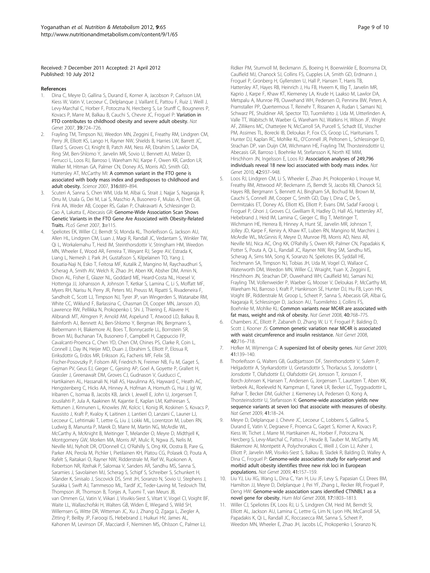#### <span id="page-8-0"></span>Received: 7 December 2011 Accepted: 21 April 2012 Published: 10 July 2012

#### References

- 1. Dina C, Meyre D, Gallina S, Durand E, Korner A, Jacobson P, Carlsson LM, Kiess W, Vatin V, Lecoeur C, Delplanque J, Vaillant E, Pattou F, Ruiz J, Weill J, Levy-Marchal C, Horber F, Potoczna N, Hercberg S, Le Stunff C, Bougneres P, Kovacs P, Marre M, Balkau B, Cauchi S, Chevre JC, Froguel P: Variation in FTO contributes to childhood obesity and severe adult obesity. Nat Genet 2007, 39:724–726.
- 2. Frayling TM, Timpson NJ, Weedon MN, Zeggini E, Freathy RM, Lindgren CM, Perry JR, Elliott KS, Lango H, Rayner NW, Shields B, Harries LW, Barrett JC, Ellard S, Groves CJ, Knight B, Patch AM, Ness AR, Ebrahim S, Lawlor DA, Ring SM, Ben-Shlomo Y, Jarvelin MR, Sovio U, Bennett AJ, Melzer D, Ferrucci L, Loos RJ, Barroso I, Wareham NJ, Karpe F, Owen KR, Cardon LR, Walker M, Hitman GA, Palmer CN, Doney AS, Morris AD, Smith GD, Hattersley AT, McCarthy MI: A common variant in the FTO gene is associated with body mass index and predisposes to childhood and adult obesity. Science 2007, 316:889–894.
- Scuteri A, Sanna S, Chen WM, Uda M, Albai G, Strait J, Najjar S, Nagaraja R, Orru M, Usala G, Dei M, Lai S, Maschio A, Busonero F, Mulas A, Ehret GB, Fink AA, Weder AB, Cooper RS, Galan P, Chakravarti A, Schlessinger D, Cao A, Lakatta E, Abecasis GR: Genome-Wide Association Scan Shows Genetic Variants in the FTO Gene Are Associated with Obesity-Related Traits. PLoS Genet 2007, 3:e115.
- 4. Speliotes EK, Willer CJ, Berndt SI, Monda KL, Thorleifsson G, Jackson AU, Allen HL, Lindgren CM, Luan J, Magi R, Randall JC, Vedantam S, Winkler TW, Qi L, Workalemahu T, Heid IM, Steinthorsdottir V, Stringham HM, Weedon MN, Wheeler E, Wood AR, Ferreira T, Weyant RJ, Segre AV, Estrada K, Liang L, Nemesh J, Park JH, Gustafsson S, Kilpelainen TO, Yang J, Bouatia-Naji N, Esko T, Feitosa MF, Kutalik Z, Mangino M, Raychaudhuri S, Scherag A, Smith AV, Welch R, Zhao JH, Aben KK, Absher DM, Amin N, Dixon AL, Fisher E, Glazer NL, Goddard ME, Heard-Costa NL, Hoesel V, Hottenga JJ, Johansson A, Johnson T, Ketkar S, Lamina C, Li S, Moffatt MF, Myers RH, Narisu N, Perry JR, Peters MJ, Preuss M, Ripatti S, Rivadeneira F, Sandholt C, Scott LJ, Timpson NJ, Tyrer JP, van Wingerden S, Watanabe RM, White CC, Wiklund F, Barlassina C, Chasman DI, Cooper MN, Jansson JO, Lawrence RW, Pellikka N, Prokopenko I, Shi J, Thiering E, Alavere H, Alibrandi MT, Almgren P, Arnold AM, Aspelund T, Atwood LD, Balkau B, Balmforth AJ, Bennett AJ, Ben-Shlomo Y, Bergman RN, Bergmann S, Biebermann H, Blakemore AI, Boes T, Bonnycastle LL, Bornstein SR, Brown MJ, Buchanan TA, Busonero F, Campbell H, Cappuccio FP, Cavalcanti-Proenca C, Chen YD, Chen CM, Chines PS, Clarke R, Coin L, Connell J, Day IN, Heijer MD, Duan J, Ebrahim S, Elliott P, Elosua R, Eiriksdottir G, Erdos MR, Eriksson JG, Facheris MF, Felix SB, Fischer-Posovszky P, Folsom AR, Friedrich N, Freimer NB, Fu M, Gaget S, Gejman PV, Geus EJ, Gieger C, Gjesing AP, Goel A, Goyette P, Grallert H, Grassler J, Greenawalt DM, Groves CJ, Gudnason V, Guiducci C, Hartikainen AL, Hassanali N, Hall AS, Havulinna AS, Hayward C, Heath AC, Hengstenberg C, Hicks AA, Hinney A, Hofman A, Homuth G, Hui J, Igl W, Iribarren C, Isomaa B, Jacobs KB, Jarick I, Jewell E, John U, Jorgensen T, Jousilahti P, Jula A, Kaakinen M, Kajantie E, Kaplan LM, Kathiresan S, Kettunen J, Kinnunen L, Knowles JW, Kolcic I, Konig IR, Koskinen S, Kovacs P, Kuusisto J, Kraft P, Kvaloy K, Laitinen J, Lantieri O, Lanzani C, Launer LJ, Lecoeur C, Lehtimaki T, Lettre G, Liu J, Lokki ML, Lorentzon M, Luben RN, Ludwig B, Manunta P, Marek D, Marre M, Martin NG, McArdle WL, McCarthy A, McKnight B, Meitinger T, Melander O, Meyre D, Midthjell K, Montgomery GW, Morken MA, Morris AP, Mulic R, Ngwa JS, Nelis M, Neville MJ, Nyholt DR, O'Donnell CJ, O'Rahilly S, Ong KK, Oostra B, Pare G, Parker AN, Perola M, Pichler I, Pietilainen KH, Platou CG, Polasek O, Pouta A, Rafelt S, Raitakari O, Rayner NW, Ridderstrale M, Rief W, Ruokonen A, Robertson NR, Rzehak P, Salomaa V, Sanders AR, Sandhu MS, Sanna S, Saramies J, Savolainen MJ, Scherag S, Schipf S, Schreiber S, Schunkert H, Silander K, Sinisalo J, Siscovick DS, Smit JH, Soranzo N, Sovio U, Stephens J, Surakka I, Swift AJ, Tammesoo ML, Tardif JC, Teder-Laving M, Teslovich TM, Thompson JR, Thomson B, Tonjes A, Tuomi T, van Meurs JB, van Ommen GJ, Vatin V, Viikari J, Visvikis-Siest S, Vitart V, Vogel CI, Voight BF, Waite LL, Wallaschofski H, Walters GB, Widen E, Wiegand S, Wild SH, Willemsen G, Witte DR, Witteman JC, Xu J, Zhang Q, Zgaga L, Ziegler A, Zitting P, Beilby JP, Farooqi IS, Hebebrand J, Huikuri HV, James AL, Kahonen M, Levinson DF, Macciardi F, Nieminen MS, Ohlsson C, Palmer LJ,

Ridker PM, Stumvoll M, Beckmann JS, Boeing H, Boerwinkle E, Boomsma DI, Caulfield MJ, Chanock SJ, Collins FS, Cupples LA, Smith GD, Erdmann J, Froguel P, Gronberg H, Gyllensten U, Hall P, Hansen T, Harris TB, Hattersley AT, Hayes RB, Heinrich J, Hu FB, Hveem K, Illig T, Jarvelin MR, Kaprio J, Karpe F, Khaw KT, Kiemeney LA, Krude H, Laakso M, Lawlor DA, Metspalu A, Munroe PB, Ouwehand WH, Pedersen O, Penninx BW, Peters A, Pramstaller PP, Quertermous T, Reinehr T, Rissanen A, Rudan I, Samani NJ, Schwarz PE, Shuldiner AR, Spector TD, Tuomilehto J, Uda M, Uitterlinden A, Valle TT, Wabitsch M, Waeber G, Wareham NJ, Watkins H, Wilson JF, Wright AF, Zillikens MC, Chatterjee N, McCarroll SA, Purcell S, Schadt EE, Visscher PM, Assimes TL, Borecki IB, Deloukas P, Fox CS, Groop LC, Haritunians T, Hunter DJ, Kaplan RC, Mohlke KL, O'Connell JR, Peltonen L, Schlessinger D, Strachan DP, van Duijn CM, Wichmann HE, Frayling TM, Thorsteinsdottir U, Abecasis GR, Barroso I, Boehnke M, Stefansson K, North KE MIM, Hirschhorn JN, Ingelsson E, Loos RJ: Association analyses of 249,796 individuals reveal 18 new loci associated with body mass index. Nat Genet 2010, 42:937–948.

- Loos RJ, Lindgren CM, Li S, Wheeler E, Zhao JH, Prokopenko I, Inouye M, Freathy RM, Attwood AP, Beckmann JS, Berndt SI, Jacobs KB, Chanock SJ, Hayes RB, Bergmann S, Bennett AJ, Bingham SA, Bochud M, Brown M, Cauchi S, Connell JM, Cooper C, Smith GD, Day I, Dina C, De S, Dermitzakis ET, Doney AS, Elliott KS, Elliott P, Evans DM, Sadaf Farooqi I, Froguel P, Ghori J, Groves CJ, Gwilliam R, Hadley D, Hall AS, Hattersley AT, Hebebrand J, Heid IM, Lamina C, Gieger C, Illig T, Meitinger T, Wichmann HE, Herrera B, Hinney A, Hunt SE, Jarvelin MR, Johnson T, Jolley JD, Karpe F, Keniry A, Khaw KT, Luben RN, Mangino M, Marchini J, McArdle WL, McGinnis R, Meyre D, Munroe PB, Morris AD, Ness AR, Neville MJ, Nica AC, Ong KK, O'Rahilly S, Owen KR, Palmer CN, Papadakis K, Potter S, Pouta A, Qi L, Randall JC, Rayner NW, Ring SM, Sandhu MS, Scherag A, Sims MA, Song K, Soranzo N, Speliotes EK, Syddall HE, Teichmann SA, Timpson NJ, Tobias JH, Uda M, Vogel CI, Wallace C, Waterworth DM, Weedon MN, Willer CJ, Wraight, Yuan X, Zeggini E, Hirschhorn JN, Strachan DP, Ouwehand WH, Caulfield MJ, Samani NJ, Frayling TM, Vollenweider P, Waeber G, Mooser V, Deloukas P, McCarthy MI, Wareham NJ, Barroso I, Kraft P, Hankinson SE, Hunter DJ, Hu FB, Lyon HN, Voight BF, Ridderstrale M, Groop L, Scheet P, Sanna S, Abecasis GR, Albai G, Nagaraja R, Schlessinger D, Jackson AU, Tuomilehto J, Collins FS, Boehnke M, Mohlke KL: Common variants near MC4R are associated with fat mass, weight and risk of obesity. Nat Genet 2008, 40:768–775.
- 6. Chambers JC, Elliott P, Zabaneh D, Zhang W, Li Y, Froguel P, Balding D, Scott J, Kooner JS: Common genetic variation near MC4R is associated with waist circumference and insulin resistance. Nat Genet 2008, 40:716–718.
- 7. Hofker M, Wijmenga C: A supersized list of obesity genes. Nat Genet 2009, 41:139–140.
- 8. Thorleifsson G, Walters GB, Gudbjartsson DF, Steinthorsdottir V, Sulem P, Helgadottir A, Styrkarsdottir U, Gretarsdottir S, Thorlacius S, Jonsdottir I, Jonsdottir T, Olafsdottir EJ, Olafsdottir GH, Jonsson T, Jonsson F, Borch-Johnsen K, Hansen T, Andersen G, Jorgensen T, Lauritzen T, Aben KK, Verbeek AL, Roeleveld N, Kampman E, Yanek LR, Becker LC, Tryggvadottir L, Rafnar T, Becker DM, Gulcher J, Kiemeney LA, Pedersen O, Kong A, Thorsteinsdottir U, Stefansson K: Genome-wide association yields new sequence variants at seven loci that associate with measures of obesity. Nat Genet 2009, 41:18–24.
- 9. Meyre D, Delplanque J, Chevre JC, Lecoeur C, Lobbens S, Gallina S, Durand E, Vatin V, Degraeve F, Proenca C, Gaget S, Korner A, Kovacs P, Kiess W, Tichet J, Marre M, Hartikainen AL, Horber F, Potoczna N, Hercberg S, Levy-Marchal C, Pattou F, Heude B, Tauber M, McCarthy MI, Blakemore AI, Montpetit A, Polychronakos C, Weill J, Coin LJ, Asher J, Elliott P, Jarvelin MR, Visvikis-Siest S, Balkau B, Sladek R, Balding D, Walley A, Dina C, Froguel P: Genome-wide association study for early-onset and morbid adult obesity identifies three new risk loci in European populations. Nat Genet 2009, 41:157–159.
- 10. Liu YJ, Liu XG, Wang L, Dina C, Yan H, Liu JF, Levy S, Papasian CJ, Drees BM, Hamilton JJ, Meyre D, Delplanque J, Pei YF, Zhang L, Recker RR, Froguel P, Deng HW: Genome-wide association scans identified CTNNBL1 as a novel gene for obesity. Hum Mol Genet 2008, 17:1803–1813.
- 11. Willer CJ, Speliotes EK, Loos RJ, Li S, Lindgren CM, Heid IM, Berndt SI, Elliott AL, Jackson AU, Lamina C, Lettre G, Lim N, Lyon HN, McCarroll SA, Papadakis K, Qi L, Randall JC, Roccasecca RM, Sanna S, Scheet P, Weedon MN, Wheeler E, Zhao JH, Jacobs LC, Prokopenko I, Soranzo N,